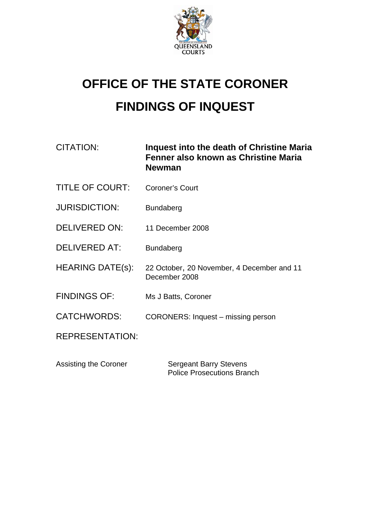

## **OFFICE OF THE STATE CORONER FINDINGS OF INQUEST**

| CITATION:               | Inquest into the death of Christine Maria<br>Fenner also known as Christine Maria<br><b>Newman</b> |
|-------------------------|----------------------------------------------------------------------------------------------------|
| <b>TITLE OF COURT:</b>  | <b>Coroner's Court</b>                                                                             |
| <b>JURISDICTION:</b>    | <b>Bundaberg</b>                                                                                   |
| DELIVERED ON:           | 11 December 2008                                                                                   |
| <b>DELIVERED AT:</b>    | <b>Bundaberg</b>                                                                                   |
| <b>HEARING DATE(s):</b> | 22 October, 20 November, 4 December and 11<br>December 2008                                        |
| <b>FINDINGS OF:</b>     | Ms J Batts, Coroner                                                                                |
| <b>CATCHWORDS:</b>      | CORONERS: Inquest – missing person                                                                 |
| <b>REPRESENTATION:</b>  |                                                                                                    |
|                         |                                                                                                    |

Assisting the Coroner Sergeant Barry Stevens Police Prosecutions Branch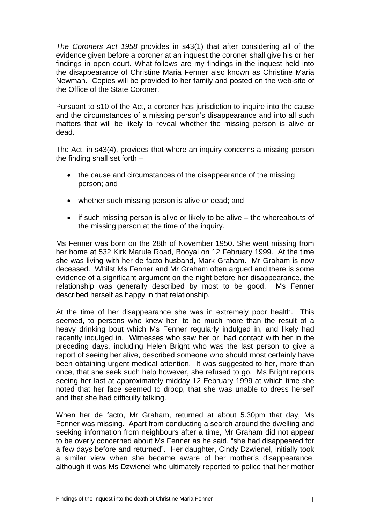*The Coroners Act 1958* provides in s43(1) that after considering all of the evidence given before a coroner at an inquest the coroner shall give his or her findings in open court. What follows are my findings in the inquest held into the disappearance of Christine Maria Fenner also known as Christine Maria Newman. Copies will be provided to her family and posted on the web-site of the Office of the State Coroner.

Pursuant to s10 of the Act, a coroner has jurisdiction to inquire into the cause and the circumstances of a missing person's disappearance and into all such matters that will be likely to reveal whether the missing person is alive or dead.

The Act, in s43(4), provides that where an inquiry concerns a missing person the finding shall set forth –

- the cause and circumstances of the disappearance of the missing person; and
- whether such missing person is alive or dead; and
- if such missing person is alive or likely to be alive the whereabouts of the missing person at the time of the inquiry.

Ms Fenner was born on the 28th of November 1950. She went missing from her home at 532 Kirk Marule Road, Booyal on 12 February 1999. At the time she was living with her de facto husband, Mark Graham. Mr Graham is now deceased. Whilst Ms Fenner and Mr Graham often argued and there is some evidence of a significant argument on the night before her disappearance, the relationship was generally described by most to be good. Ms Fenner described herself as happy in that relationship.

At the time of her disappearance she was in extremely poor health. This seemed, to persons who knew her, to be much more than the result of a heavy drinking bout which Ms Fenner regularly indulged in, and likely had recently indulged in. Witnesses who saw her or, had contact with her in the preceding days, including Helen Bright who was the last person to give a report of seeing her alive, described someone who should most certainly have been obtaining urgent medical attention. It was suggested to her, more than once, that she seek such help however, she refused to go. Ms Bright reports seeing her last at approximately midday 12 February 1999 at which time she noted that her face seemed to droop, that she was unable to dress herself and that she had difficulty talking.

When her de facto, Mr Graham, returned at about 5.30pm that day, Ms Fenner was missing. Apart from conducting a search around the dwelling and seeking information from neighbours after a time, Mr Graham did not appear to be overly concerned about Ms Fenner as he said, "she had disappeared for a few days before and returned". Her daughter, Cindy Dzwienel, initially took a similar view when she became aware of her mother's disappearance, although it was Ms Dzwienel who ultimately reported to police that her mother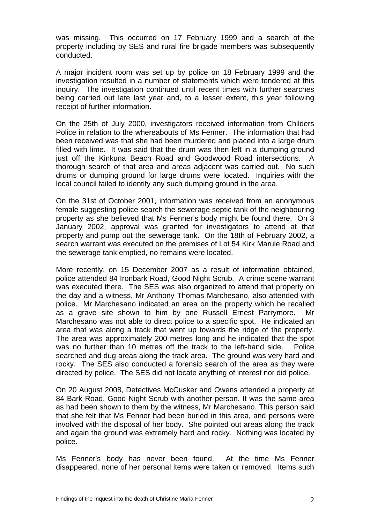was missing. This occurred on 17 February 1999 and a search of the property including by SES and rural fire brigade members was subsequently conducted.

A major incident room was set up by police on 18 February 1999 and the investigation resulted in a number of statements which were tendered at this inquiry. The investigation continued until recent times with further searches being carried out late last year and, to a lesser extent, this year following receipt of further information.

On the 25th of July 2000, investigators received information from Childers Police in relation to the whereabouts of Ms Fenner. The information that had been received was that she had been murdered and placed into a large drum filled with lime. It was said that the drum was then left in a dumping ground just off the Kinkuna Beach Road and Goodwood Road intersections. A thorough search of that area and areas adjacent was carried out. No such drums or dumping ground for large drums were located. Inquiries with the local council failed to identify any such dumping ground in the area.

On the 31st of October 2001, information was received from an anonymous female suggesting police search the sewerage septic tank of the neighbouring property as she believed that Ms Fenner's body might be found there. On 3 January 2002, approval was granted for investigators to attend at that property and pump out the sewerage tank. On the 18th of February 2002, a search warrant was executed on the premises of Lot 54 Kirk Marule Road and the sewerage tank emptied, no remains were located.

More recently, on 15 December 2007 as a result of information obtained, police attended 84 Ironbark Road, Good Night Scrub. A crime scene warrant was executed there. The SES was also organized to attend that property on the day and a witness, Mr Anthony Thomas Marchesano, also attended with police. Mr Marchesano indicated an area on the property which he recalled as a grave site shown to him by one Russell Ernest Parrymore. Mr Marchesano was not able to direct police to a specific spot. He indicated an area that was along a track that went up towards the ridge of the property. The area was approximately 200 metres long and he indicated that the spot was no further than 10 metres off the track to the left-hand side. Police searched and dug areas along the track area. The ground was very hard and rocky. The SES also conducted a forensic search of the area as they were directed by police. The SES did not locate anything of interest nor did police.

On 20 August 2008, Detectives McCusker and Owens attended a property at 84 Bark Road, Good Night Scrub with another person. It was the same area as had been shown to them by the witness, Mr Marchesano. This person said that she felt that Ms Fenner had been buried in this area, and persons were involved with the disposal of her body. She pointed out areas along the track and again the ground was extremely hard and rocky. Nothing was located by police.

Ms Fenner's body has never been found. At the time Ms Fenner disappeared, none of her personal items were taken or removed. Items such